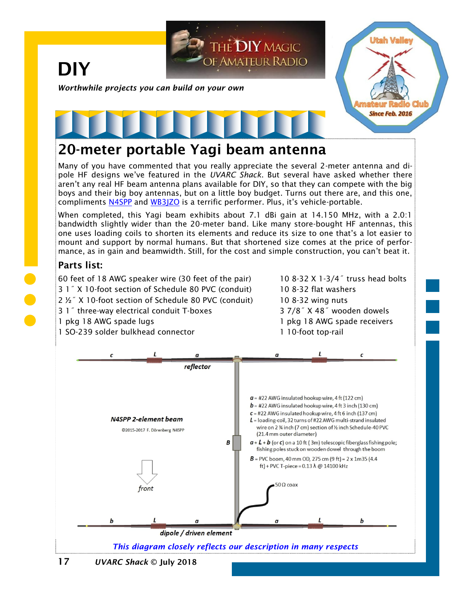

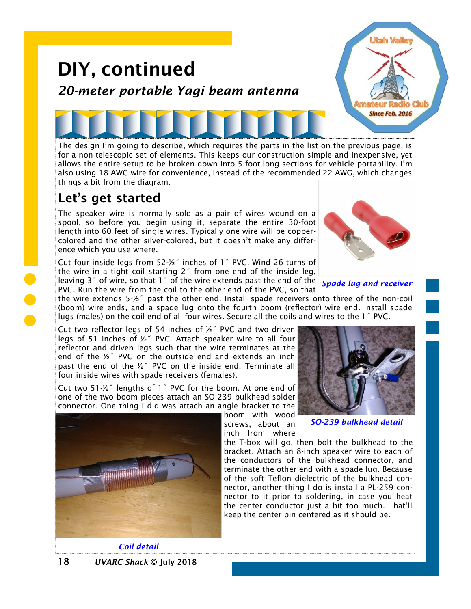## DIY, continued *20-meter portable Yagi beam antenna*

The design I'm going to describe, which requires the parts in the list on the previous page, is for a non-telescopic set of elements. This keeps our construction simple and inexpensive, yet allows the entire setup to be broken down into 5-foot-long sections for vehicle portability. I'm also using 18 AWG wire for convenience, instead of the recommended 22 AWG, which changes things a bit from the diagram.

## Let's get started

The speaker wire is normally sold as a pair of wires wound on a spool, so before you begin using it, separate the entire 30-foot length into 60 feet of single wires. Typically one wire will be coppercolored and the other silver-colored, but it doesn't make any difference which you use where.

Cut four inside legs from 52-½˝ inches of 1˝ PVC. Wind 26 turns of the wire in a tight coil starting  $2<sup>7</sup>$  from one end of the inside leg, leaving 3˝ of wire, so that 1˝ of the wire extends past the end of the *Spade lug and receiver* PVC. Run the wire from the coil to the other end of the PVC, so that



**Utah Valle** 

**Since Feb. 2016** 

the wire extends 5-½˝ past the other end. Install spade receivers onto three of the non-coil (boom) wire ends, and a spade lug onto the fourth boom (reflector) wire end. Install spade lugs (males) on the coil end of all four wires. Secure all the coils and wires to the 1˝ PVC.

Cut two reflector legs of 54 inches of  $\frac{1}{2}$  PVC and two driven legs of 51 inches of ½˝ PVC. Attach speaker wire to all four reflector and driven legs such that the wire terminates at the end of the ½˝ PVC on the outside end and extends an inch past the end of the ½˝ PVC on the inside end. Terminate all four inside wires with spade receivers (females).

Cut two 51-½˝ lengths of 1˝ PVC for the boom. At one end of one of the two boom pieces attach an SO-239 bulkhead solder connector. One thing I did was attach an angle bracket to the

boom with wood screws, about an inch from where





*Coil detail*



*SO-239 bulkhead detail*

the T-box will go, then bolt the bulkhead to the bracket. Attach an 8-inch speaker wire to each of the conductors of the bulkhead connector, and terminate the other end with a spade lug. Because of the soft Teflon dielectric of the bulkhead connector, another thing I do is install a PL-259 connector to it prior to soldering, in case you heat the center conductor just a bit too much. That'll keep the center pin centered as it should be.